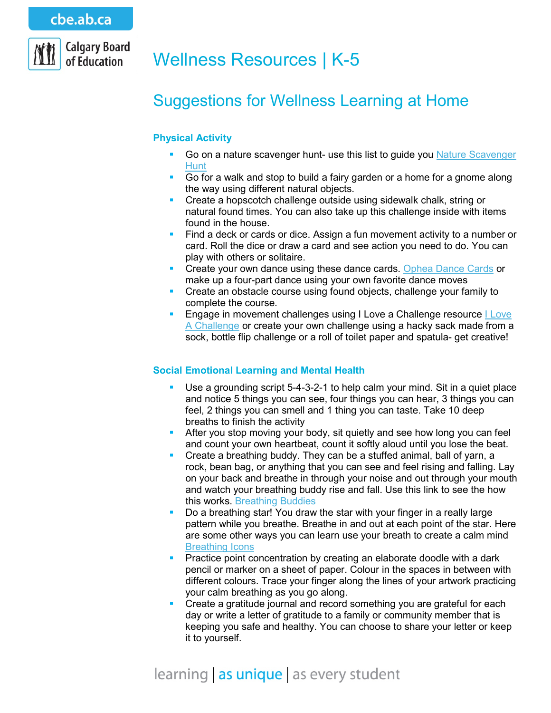### cbe.ab.ca



# Wellness Resources | K-5

## Suggestions for Wellness Learning at Home

#### **Physical Activity**

- Go on a nature scavenger hunt- use this list to guide you [Nature Scavenger](http://befitforlife.ca/resources/scavengerhunt)  **[Hunt](http://befitforlife.ca/resources/scavengerhunt)**
- Go for a walk and stop to build a fairy garden or a home for a gnome along the way using different natural objects.
- **Create a hopscotch challenge outside using sidewalk chalk, string or** natural found times. You can also take up this challenge inside with items found in the house.
- Find a deck or cards or dice. Assign a fun movement activity to a number or card. Roll the dice or draw a card and see action you need to do. You can play with others or solitaire.
- Create your own dance using these dance cards. [Ophea Dance Cards](https://teachingtools.ophea.net/sites/default/files/appendices/junior_appendixg.pdf) or make up a four-part dance using your own favorite dance moves
- **Create an obstacle course using found objects, challenge your family to** complete the course.
- Engage in movement challenges using I Love a Challenge resource [I Love](https://www.darkhorseathletic.ca/iloveachallenge)  [A Challenge](https://www.darkhorseathletic.ca/iloveachallenge) or create your own challenge using a hacky sack made from a sock, bottle flip challenge or a roll of toilet paper and spatula- get creative!

#### **Social Emotional Learning and Mental Health**

- Use a grounding script 5-4-3-2-1 to help calm your mind. Sit in a quiet place and notice 5 things you can see, four things you can hear, 3 things you can feel, 2 things you can smell and 1 thing you can taste. Take 10 deep breaths to finish the activity
- **After you stop moving your body, sit quietly and see how long you can feel** and count your own heartbeat, count it softly aloud until you lose the beat.
- **Create a breathing buddy. They can be a stuffed animal, ball of yarn, a** rock, bean bag, or anything that you can see and feel rising and falling. Lay on your back and breathe in through your noise and out through your mouth and watch your breathing buddy rise and fall. Use this link to see the how this works. [Breathing Buddies](https://www.youtube.com/watch?v=b2Tbfs7neAk)
- Do a breathing star! You draw the star with your finger in a really large pattern while you breathe. Breathe in and out at each point of the star. Here are some other ways you can learn use your breath to create a calm mind [Breathing Icons](https://consciousdiscipline.s3.amazonaws.com/Free-Resources/Printable-Posters-Tools-Activities/FREE-Printable-Safe_Place_Breathing_Icons.pdf)
- Practice point concentration by creating an elaborate doodle with a dark pencil or marker on a sheet of paper. Colour in the spaces in between with different colours. Trace your finger along the lines of your artwork practicing your calm breathing as you go along.
- Create a gratitude journal and record something you are grateful for each day or write a letter of gratitude to a family or community member that is keeping you safe and healthy. You can choose to share your letter or keep it to yourself.

### learning | as unique | as every student